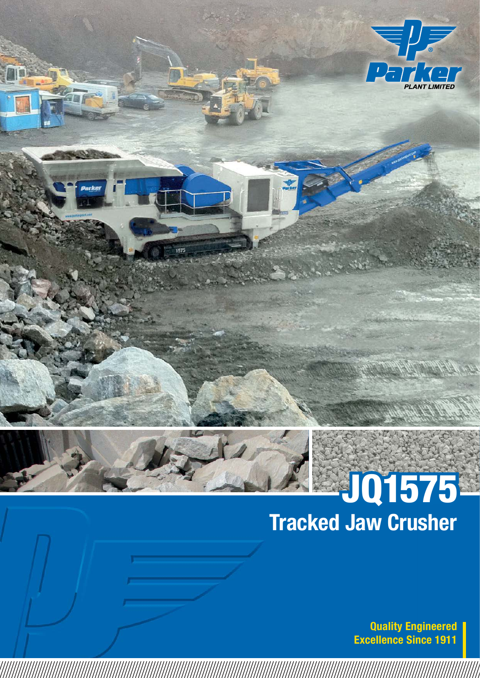

## Tracked Jaw Crusher JQ1575

Quality Engineered Excellence Since 1911